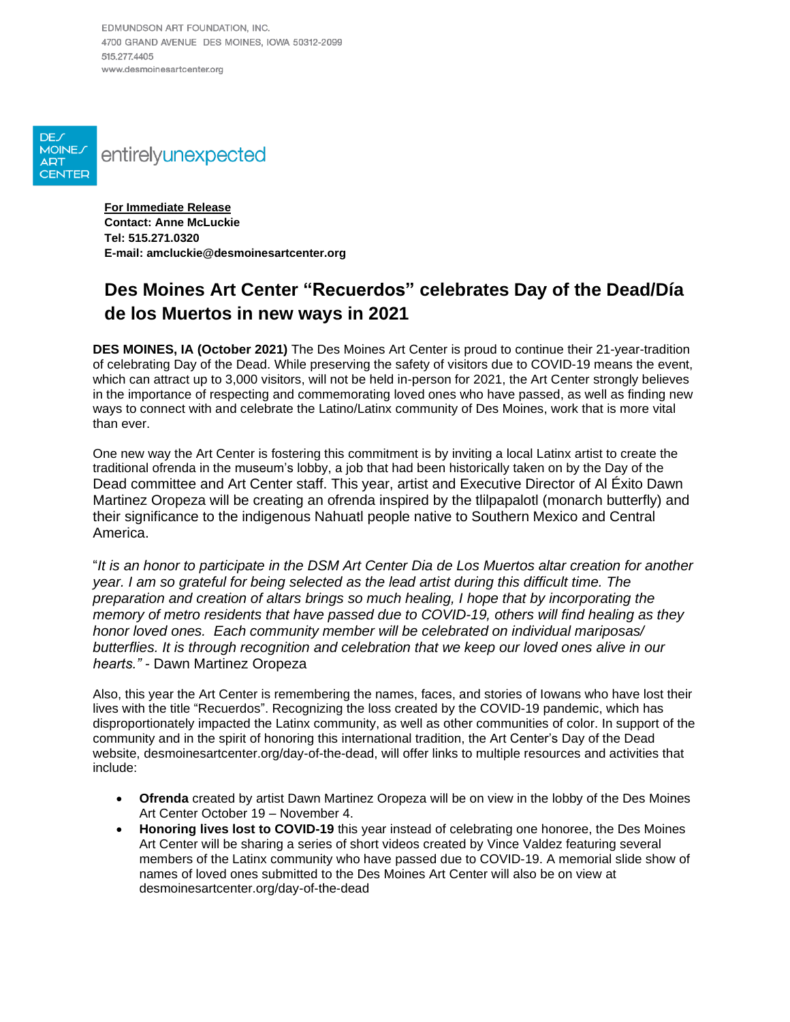EDMUNDSON ART FOUNDATION, INC. 4700 GRAND AVENUE DES MOINES, IOWA 50312-2099 515 277 4405 www.desmoinesartcenter.org



**For Immediate Release Contact: Anne McLuckie Tel: 515.271.0320 E-mail: amcluckie@desmoinesartcenter.org**

## **Des Moines Art Center "Recuerdos" celebrates Day of the Dead/Día de los Muertos in new ways in 2021**

**DES MOINES, IA (October 2021)** The Des Moines Art Center is proud to continue their 21-year-tradition of celebrating Day of the Dead. While preserving the safety of visitors due to COVID-19 means the event, which can attract up to 3,000 visitors, will not be held in-person for 2021, the Art Center strongly believes in the importance of respecting and commemorating loved ones who have passed, as well as finding new ways to connect with and celebrate the Latino/Latinx community of Des Moines, work that is more vital than ever.

One new way the Art Center is fostering this commitment is by inviting a local Latinx artist to create the traditional ofrenda in the museum's lobby, a job that had been historically taken on by the Day of the Dead committee and Art Center staff. This year, artist and Executive Director of Al Éxito Dawn Martinez Oropeza will be creating an ofrenda inspired by the tlilpapalotl (monarch butterfly) and their significance to the indigenous Nahuatl people native to Southern Mexico and Central America.

"It is an honor to participate in the DSM Art Center Dia de Los Muertos altar creation for another *year. I am so grateful for being selected as the lead artist during this difficult time. The preparation and creation of altars brings so much healing, I hope that by incorporating the memory of metro residents that have passed due to COVID-19, others will find healing as they honor loved ones. Each community member will be celebrated on individual mariposas/ butterflies. It is through recognition and celebration that we keep our loved ones alive in our hearts." -* Dawn Martinez Oropeza

Also, this year the Art Center is remembering the names, faces, and stories of Iowans who have lost their lives with the title "Recuerdos". Recognizing the loss created by the COVID-19 pandemic, which has disproportionately impacted the Latinx community, as well as other communities of color. In support of the community and in the spirit of honoring this international tradition, the Art Center's Day of the Dead website, [desmoinesartcenter.org/day-of-the-dead,](https://www.desmoinesartcenter.org/day-of-the-dead/) will offer links to multiple resources and activities that include:

- **Ofrenda** created by artist Dawn Martinez Oropeza will be on view in the lobby of the Des Moines Art Center October 19 – November 4.
- **Honoring lives lost to COVID-19** this year instead of celebrating one honoree, the Des Moines Art Center will be sharing a series of short videos created by Vince Valdez featuring several members of the Latinx community who have passed due to COVID-19. A memorial slide show of names of loved ones submitted to the Des Moines Art Center will also be on view at desmoinesartcenter.org/day-of-the-dead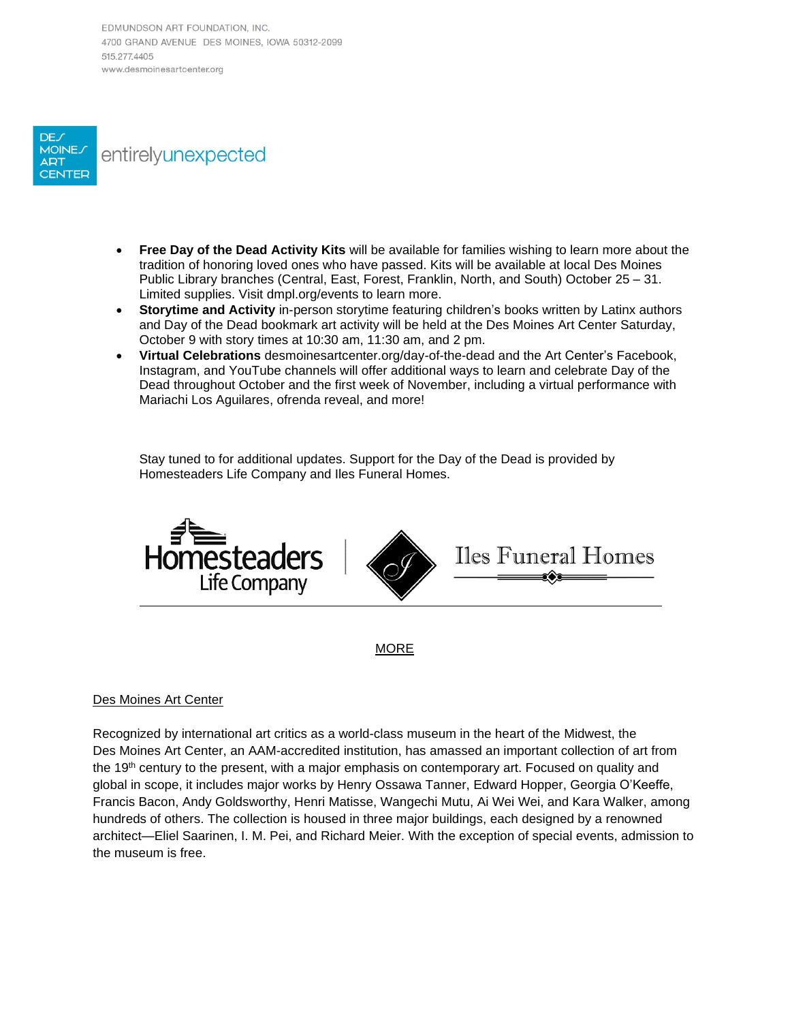EDMUNDSON ART FOUNDATION, INC. 4700 GRAND AVENUE DES MOINES, IOWA 50312-2099 515 277 4405 www.desmoinesartcenter.org



- **Free Day of the Dead Activity Kits** will be available for families wishing to learn more about the tradition of honoring loved ones who have passed. Kits will be available at local Des Moines Public Library branches (Central, East, Forest, Franklin, North, and South) October 25 – 31. Limited supplies. Visit dmpl.org/events to learn more.
- **Storytime and Activity** in-person storytime featuring children's books written by Latinx authors and Day of the Dead bookmark art activity will be held at the Des Moines Art Center Saturday, October 9 with story times at 10:30 am, 11:30 am, and 2 pm.
- **Virtual Celebrations** desmoinesartcenter.org/day-of-the-dead and the Art Center's Facebook, Instagram, and YouTube channels will offer additional ways to learn and celebrate Day of the Dead throughout October and the first week of November, including a virtual performance with Mariachi Los Aguilares, ofrenda reveal, and more!

Stay tuned to for additional updates. Support for the Day of the Dead is provided by Homesteaders Life Company and Iles Funeral Homes.



MORE

## Des Moines Art Center

Recognized by international art critics as a world-class museum in the heart of the Midwest, the Des Moines Art Center, an AAM-accredited institution, has amassed an important collection of art from the 19th century to the present, with a major emphasis on contemporary art. Focused on quality and global in scope, it includes major works by Henry Ossawa Tanner, Edward Hopper, Georgia O'Keeffe, Francis Bacon, Andy Goldsworthy, Henri Matisse, Wangechi Mutu, Ai Wei Wei, and Kara Walker, among hundreds of others. The collection is housed in three major buildings, each designed by a renowned architect—Eliel Saarinen, I. M. Pei, and Richard Meier. With the exception of special events, admission to the museum is free.